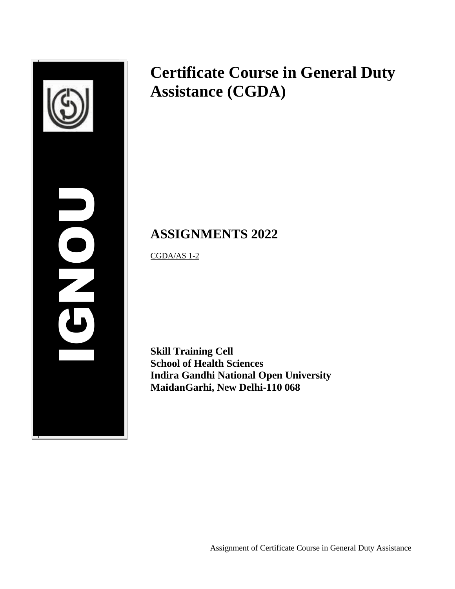

# **Certificate Course in General Duty Assistance (CGDA)**

# **ASSIGNMENTS 2022**

CGDA/AS 1-2

**Skill Training Cell School of Health Sciences Indira Gandhi National Open University MaidanGarhi, New Delhi-110 068**

Assignment of Certificate Course in General Duty Assistance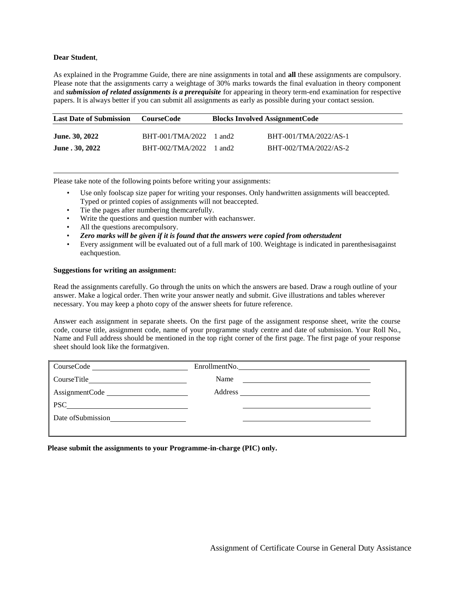#### **Dear Student**,

As explained in the Programme Guide, there are nine assignments in total and **all** these assignments are compulsory. Please note that the assignments carry a weightage of 30% marks towards the final evaluation in theory component and *submission of related assignments is a prerequisite* for appearing in theory term-end examination for respective papers. It is always better if you can submit all assignments as early as possible during your contact session.

| <b>Last Date of Submission</b> | CourseCode                 | <b>Blocks Involved AssignmentCode</b> |                       |
|--------------------------------|----------------------------|---------------------------------------|-----------------------|
| <b>June. 30, 2022</b>          | BHT-001/TMA/2022           | 1 and 2                               | BHT-001/TMA/2022/AS-1 |
| June . 30, 2022                | $BHT-002/TMA/2022$ 1 and 2 |                                       | BHT-002/TMA/2022/AS-2 |

Please take note of the following points before writing your assignments:

- Use only foolscap size paper for writing your responses. Only handwritten assignments will beaccepted. Typed or printed copies of assignments will not beaccepted.
- Tie the pages after numbering themcarefully.
- Write the questions and question number with eachanswer.
- All the questions are compulsory.
- *Zero marks will be given if it is found that the answers were copied from otherstudent*
- Every assignment will be evaluated out of a full mark of 100. Weightage is indicated in parenthesisagainst eachquestion.

#### **Suggestions for writing an assignment:**

Read the assignments carefully. Go through the units on which the answers are based. Draw a rough outline of your answer. Make a logical order. Then write your answer neatly and submit. Give illustrations and tables wherever necessary. You may keep a photo copy of the answer sheets for future reference.

Answer each assignment in separate sheets. On the first page of the assignment response sheet, write the course code, course title, assignment code, name of your programme study centre and date of submission. Your Roll No., Name and Full address should be mentioned in the top right corner of the first page. The first page of your response sheet should look like the formatgiven.

| CourseCode                                                                                                                                                                                                                    | EnrollmentNo.                                                                                                                |  |
|-------------------------------------------------------------------------------------------------------------------------------------------------------------------------------------------------------------------------------|------------------------------------------------------------------------------------------------------------------------------|--|
| CourseTitle                                                                                                                                                                                                                   | Name<br><u> Alexandria de la contrada de la contrada de la contrada de la contrada de la contrada de la contrada de la c</u> |  |
| AssignmentCode                                                                                                                                                                                                                |                                                                                                                              |  |
| $PSC$ and $C$ and $C$ and $C$ and $C$ and $C$ and $C$ and $C$ and $C$ and $C$ and $C$ and $C$ and $C$ and $C$ and $C$ and $C$ and $C$ and $C$ and $C$ and $C$ and $C$ and $C$ and $C$ and $C$ and $C$ and $C$ and $C$ and $C$ |                                                                                                                              |  |
| Date of Submission                                                                                                                                                                                                            |                                                                                                                              |  |
|                                                                                                                                                                                                                               |                                                                                                                              |  |

**Please submit the assignments to your Programme-in-charge (PIC) only.**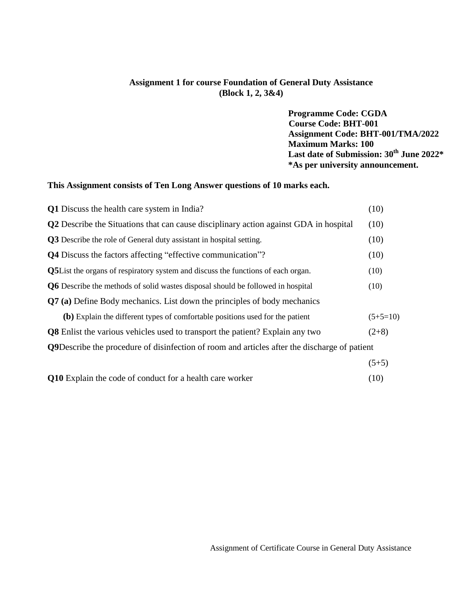## **Assignment 1 for course Foundation of General Duty Assistance (Block 1, 2, 3&4)**

**Programme Code: CGDA Course Code: BHT-001 Assignment Code: BHT-001/TMA/2022 Maximum Marks: 100 Last date of Submission: 30th June 2022\* \*As per university announcement.**

## **This Assignment consists of Ten Long Answer questions of 10 marks each.**

| <b>Q1</b> Discuss the health care system in India?                                                   | (10)       |
|------------------------------------------------------------------------------------------------------|------------|
| <b>Q2</b> Describe the Situations that can cause disciplinary action against GDA in hospital         | (10)       |
| <b>Q3</b> Describe the role of General duty assistant in hospital setting.                           | (10)       |
| <b>Q4</b> Discuss the factors affecting "effective communication"?                                   | (10)       |
| <b>Q5</b> List the organs of respiratory system and discuss the functions of each organ.             | (10)       |
| <b>Q6</b> Describe the methods of solid wastes disposal should be followed in hospital               | (10)       |
| <b>Q7</b> (a) Define Body mechanics. List down the principles of body mechanics                      |            |
| (b) Explain the different types of comfortable positions used for the patient                        | $(5+5=10)$ |
| <b>Q8</b> Enlist the various vehicles used to transport the patient? Explain any two                 | $(2+8)$    |
| <b>Q9</b> Describe the procedure of disinfection of room and articles after the discharge of patient |            |
|                                                                                                      | $(5+5)$    |

| Q10 Explain the code of conduct for a health care worker | (10) |
|----------------------------------------------------------|------|
|----------------------------------------------------------|------|